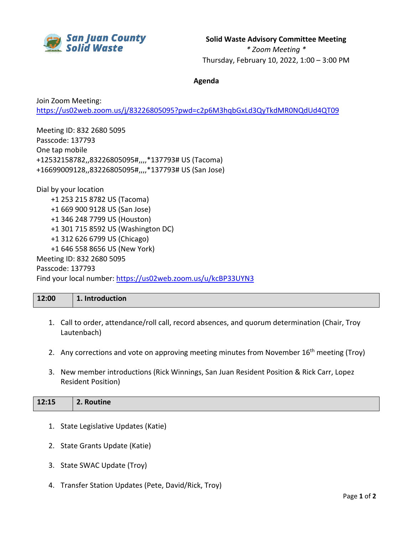

**Solid Waste Advisory Committee Meeting**

*\* Zoom Meeting \** Thursday, February 10, 2022, 1:00 – 3:00 PM

## **Agenda**

Join Zoom Meeting: <https://us02web.zoom.us/j/83226805095?pwd=c2p6M3hqbGxLd3QyTkdMR0NQdUd4QT09>

Meeting ID: 832 2680 5095 Passcode: 137793 One tap mobile +12532158782,,83226805095#,,,,\*137793# US (Tacoma) +16699009128,,83226805095#,,,,\*137793# US (San Jose)

Dial by your location +1 253 215 8782 US (Tacoma) +1 669 900 9128 US (San Jose) +1 346 248 7799 US (Houston) +1 301 715 8592 US (Washington DC) +1 312 626 6799 US (Chicago) +1 646 558 8656 US (New York) Meeting ID: 832 2680 5095 Passcode: 137793 Find your local number:<https://us02web.zoom.us/u/kcBP33UYN3>

## **12:00 1. Introduction**

- 1. Call to order, attendance/roll call, record absences, and quorum determination (Chair, Troy Lautenbach)
- 2. Any corrections and vote on approving meeting minutes from November 16<sup>th</sup> meeting (Troy)
- 3. New member introductions (Rick Winnings, San Juan Resident Position & Rick Carr, Lopez Resident Position)

| $12:15$ 2. Routine |
|--------------------|
|                    |

- 1. State Legislative Updates (Katie)
- 2. State Grants Update (Katie)
- 3. State SWAC Update (Troy)
- 4. Transfer Station Updates (Pete, David/Rick, Troy)